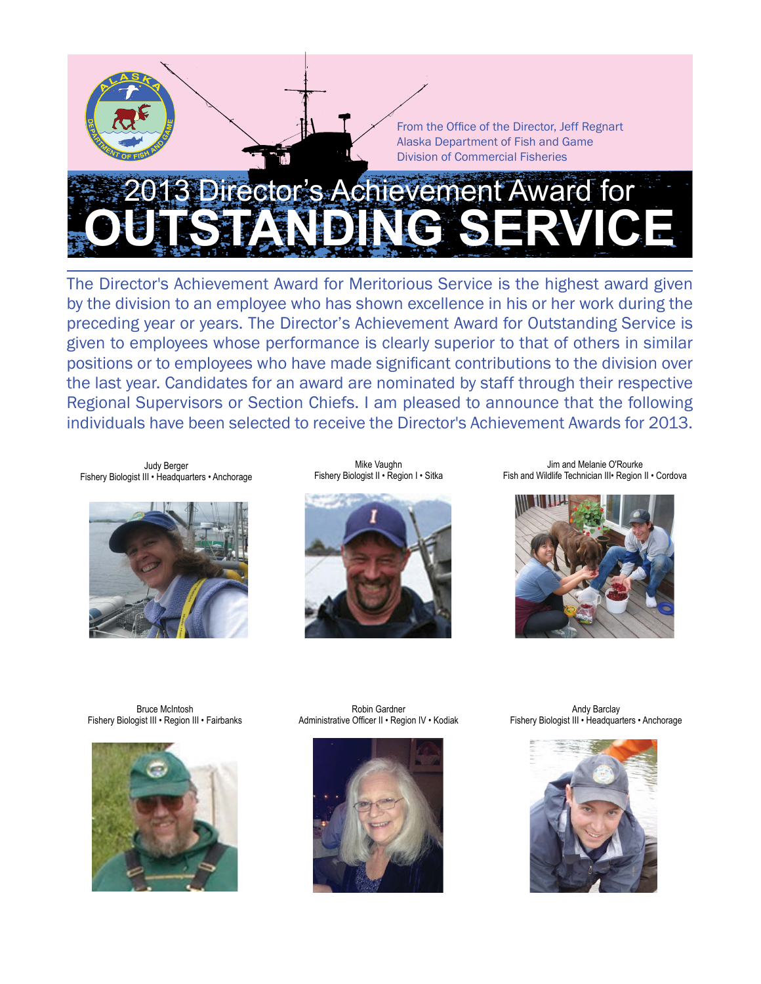

 The Director's Achievement Award for Meritorious Service is the highest award given by the division to an employee who has shown excellence in his or her work during the preceding year or years. The Director's Achievement Award for Outstanding Service is given to employees whose performance is clearly superior to that of others in similar positions or to employees who have made significant contributions to the division over the last year. Candidates for an award are nominated by staff through their respective Regional Supervisors or Section Chiefs. I am pleased to announce that the following individuals have been selected to receive the Director's Achievement Awards for 2013.

Fishery Biologist III • Headquarters • Anchorage



Fishery Biologist II · Region I · Sitka



Judy Berger (Judy Berger Mike Vaughn Mike Vaughn Judy Berger (Judy Berger Mike Vaughn Judy Berger Anchorage Co<br>III • Headquarters • Anchorage (Fishery Biologist II • Region I • Sitka Fish and Wildlife Technician III • Reg





Bruce McIntosh **Robin Gardner Andy Barclay Andy Barclay** Robin Gardner Andy Barclay Andy Barclay



Fishery Biologist III · Region III · Fairbanks Administrative Officer II · Region IV · Kodiak Fishery Biologist III · Headquarters · Anchorage

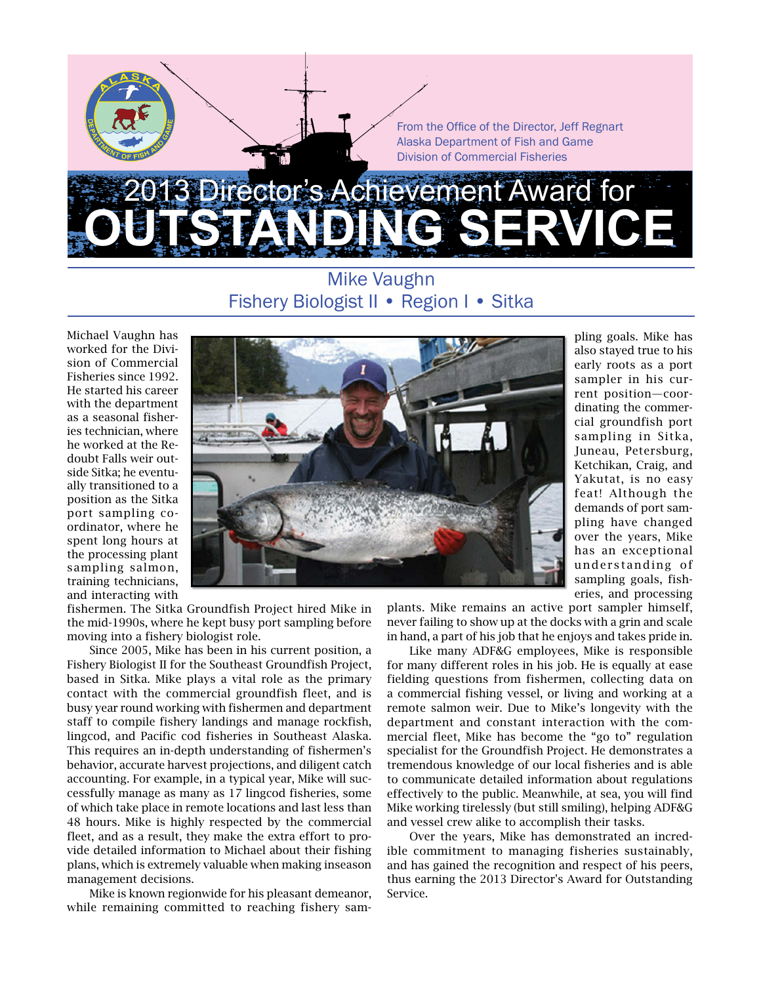## 2013 Director's Achievement Award for **Outstanding Service**

### Fishery Biologist II • Region I • Sitka Mike Vaughn

Michael Vaughn has worked for the Division of Commercial Fisheries since 1992. He started his career with the department as a seasonal fisheries technician, where he worked at the Redoubt Falls weir outside Sitka; he eventually transitioned to a position as the Sitka port sampling coordinator, where he spent long hours at the processing plant sampling salmon, training technicians, and interacting with



fishermen. The Sitka Groundfish Project hired Mike in the mid-1990s, where he kept busy port sampling before moving into a fishery biologist role.

Since 2005, Mike has been in his current position, a Fishery Biologist II for the Southeast Groundfish Project, based in Sitka. Mike plays a vital role as the primary contact with the commercial groundfish fleet, and is busy year round working with fishermen and department staff to compile fishery landings and manage rockfish, lingcod, and Pacific cod fisheries in Southeast Alaska. This requires an in-depth understanding of fishermen's behavior, accurate harvest projections, and diligent catch accounting. For example, in a typical year, Mike will successfully manage as many as 17 lingcod fisheries, some of which take place in remote locations and last less than 48 hours. Mike is highly respected by the commercial fleet, and as a result, they make the extra effort to provide detailed information to Michael about their fishing plans, which is extremely valuable when making inseason management decisions.

Mike is known regionwide for his pleasant demeanor, while remaining committed to reaching fishery sam-

plants. Mike remains an active port sampler himself, never failing to show up at the docks with a grin and scale in hand, a part of his job that he enjoys and takes pride in.

pling goals. Mike has also stayed true to his early roots as a port sampler in his current position—coordinating the commercial groundfish port sampling in Sitka, Juneau, Petersburg,

Yakutat, is no easy

demands of port sam-

over the years, Mike

eries, and processing

Like many ADF&G employees, Mike is responsible for many different roles in his job. He is equally at ease fielding questions from fishermen, collecting data on a commercial fishing vessel, or living and working at a remote salmon weir. Due to Mike's longevity with the department and constant interaction with the commercial fleet, Mike has become the "go to" regulation specialist for the Groundfish Project. He demonstrates a tremendous knowledge of our local fisheries and is able to communicate detailed information about regulations effectively to the public. Meanwhile, at sea, you will find Mike working tirelessly (but still smiling), helping ADF&G and vessel crew alike to accomplish their tasks.

Over the years, Mike has demonstrated an incredible commitment to managing fisheries sustainably, and has gained the recognition and respect of his peers, thus earning the 2013 Director's Award for Outstanding Service.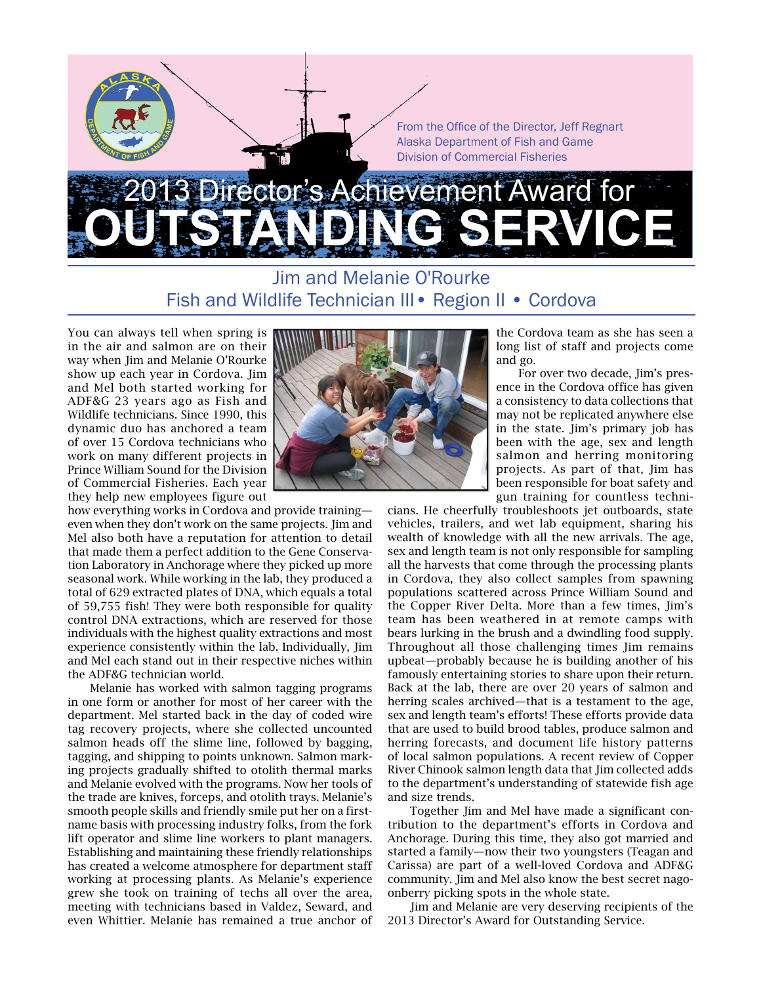### ector's Achievement Award for **Outstanding Service**

### Fish and Wildlife Technician III • Region II • Cordova Jim and Melanie O'Rourke

 ADF&G 23 years ago as Fish and they help new employees figure out You can always tell when spring is in the air and salmon are on their way when Jim and Melanie O'Rourke show up each year in Cordova. Jim and Mel both started working for Wildlife technicians. Since 1990, this dynamic duo has anchored a team of over 15 Cordova technicians who work on many different projects in Prince William Sound for the Division of Commercial Fisheries. Each year

how everything works in Cordova and provide training even when they don't work on the same projects. Jim and Mel also both have a reputation for attention to detail that made them a perfect addition to the Gene Conservation Laboratory in Anchorage where they picked up more seasonal work. While working in the lab, they produced a total of 629 extracted plates of DNA, which equals a total of 59,755 fish! They were both responsible for quality control DNA extractions, which are reserved for those individuals with the highest quality extractions and most experience consistently within the lab. Individually, Jim and Mel each stand out in their respective niches within the ADF&G technician world.

Melanie has worked with salmon tagging programs in one form or another for most of her career with the department. Mel started back in the day of coded wire tag recovery projects, where she collected uncounted salmon heads off the slime line, followed by bagging, tagging, and shipping to points unknown. Salmon marking projects gradually shifted to otolith thermal marks and Melanie evolved with the programs. Now her tools of the trade are knives, forceps, and otolith trays. Melanie's smooth people skills and friendly smile put her on a firstname basis with processing industry folks, from the fork lift operator and slime line workers to plant managers. Establishing and maintaining these friendly relationships has created a welcome atmosphere for department staff working at processing plants. As Melanie's experience grew she took on training of techs all over the area, meeting with technicians based in Valdez, Seward, and even Whittier. Melanie has remained a true anchor of



the Cordova team as she has seen a long list of staff and projects come and go.

 been with the age, sex and length For over two decade, Jim's presence in the Cordova office has given a consistency to data collections that may not be replicated anywhere else in the state. Jim's primary job has salmon and herring monitoring projects. As part of that, Jim has been responsible for boat safety and gun training for countless techni-

cians. He cheerfully troubleshoots jet outboards, state vehicles, trailers, and wet lab equipment, sharing his wealth of knowledge with all the new arrivals. The age, sex and length team is not only responsible for sampling all the harvests that come through the processing plants in Cordova, they also collect samples from spawning populations scattered across Prince William Sound and the Copper River Delta. More than a few times, Jim's team has been weathered in at remote camps with bears lurking in the brush and a dwindling food supply. Throughout all those challenging times Jim remains upbeat—probably because he is building another of his famously entertaining stories to share upon their return. Back at the lab, there are over 20 years of salmon and herring scales archived—that is a testament to the age, sex and length team's efforts! These efforts provide data that are used to build brood tables, produce salmon and herring forecasts, and document life history patterns of local salmon populations. A recent review of Copper River Chinook salmon length data that Jim collected adds to the department's understanding of statewide fish age and size trends.

Together Jim and Mel have made a significant contribution to the department's efforts in Cordova and Anchorage. During this time, they also got married and started a family—now their two youngsters (Teagan and Carissa) are part of a well-loved Cordova and ADF&G community. Jim and Mel also know the best secret nagoonberry picking spots in the whole state.

Jim and Melanie are very deserving recipients of the 2013 Director's Award for Outstanding Service.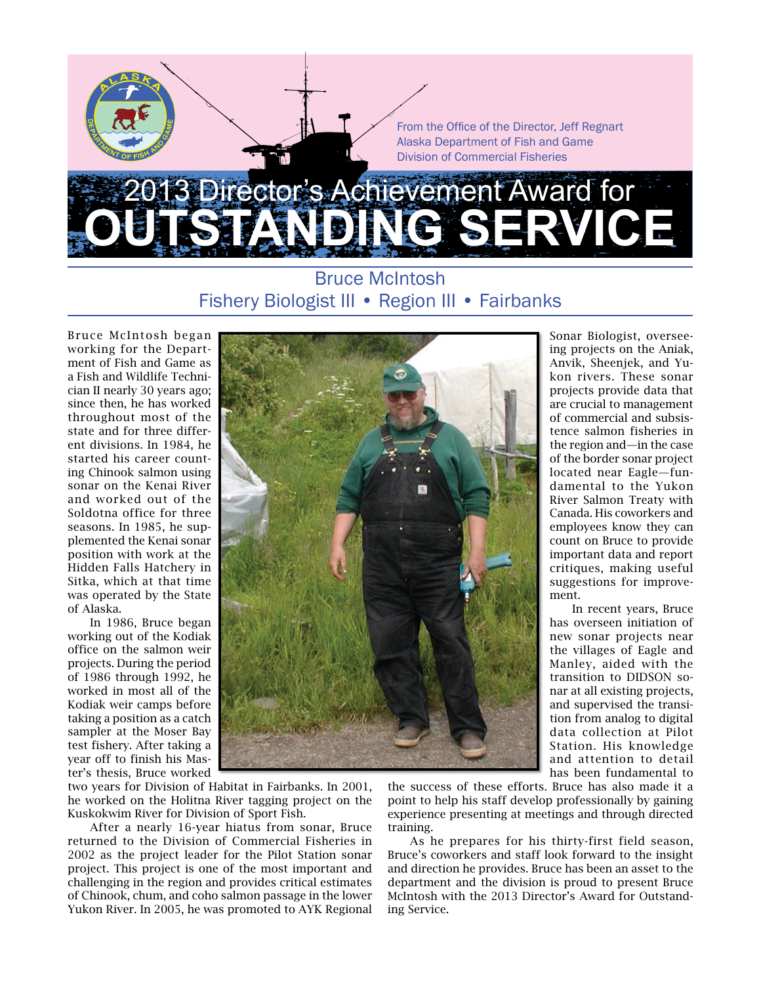## irector's Achievement Award for **Outstanding Service**

#### Bruce McIntosh Fishery Biologist III • Region III • Fairbanks

 Sitka, which at that time Bruce McIntosh began working for the Department of Fish and Game as a Fish and Wildlife Technician II nearly 30 years ago; since then, he has worked throughout most of the state and for three different divisions. In 1984, he started his career counting Chinook salmon using sonar on the Kenai River and worked out of the Soldotna office for three seasons. In 1985, he supplemented the Kenai sonar position with work at the Hidden Falls Hatchery in was operated by the State of Alaska.

In 1986, Bruce began working out of the Kodiak office on the salmon weir projects. During the period of 1986 through 1992, he worked in most all of the Kodiak weir camps before taking a position as a catch sampler at the Moser Bay test fishery. After taking a year off to finish his Master's thesis, Bruce worked



two years for Division of Habitat in Fairbanks. In 2001, he worked on the Holitna River tagging project on the Kuskokwim River for Division of Sport Fish.

After a nearly 16-year hiatus from sonar, Bruce returned to the Division of Commercial Fisheries in 2002 as the project leader for the Pilot Station sonar project. This project is one of the most important and challenging in the region and provides critical estimates of Chinook, chum, and coho salmon passage in the lower Yukon River. In 2005, he was promoted to AYK Regional

the success of these efforts. Bruce has also made it a point to help his staff develop professionally by gaining experience presenting at meetings and through directed training.

As he prepares for his thirty-first field season, Bruce's coworkers and staff look forward to the insight and direction he provides. Bruce has been an asset to the department and the division is proud to present Bruce McIntosh with the 2013 Director's Award for Outstanding Service.

Sonar Biologist, overseeing projects on the Aniak, Anvik, Sheenjek, and Yukon rivers. These sonar projects provide data that are crucial to management of commercial and subsistence salmon fisheries in the region and—in the case of the border sonar project located near Eagle—fundamental to the Yukon River Salmon Treaty with Canada. His coworkers and employees know they can count on Bruce to provide important data and report critiques, making useful suggestions for improvement.

In recent years, Bruce has overseen initiation of new sonar projects near the villages of Eagle and Manley, aided with the transition to DIDSON sonar at all existing projects, and supervised the transition from analog to digital data collection at Pilot Station. His knowledge and attention to detail has been fundamental to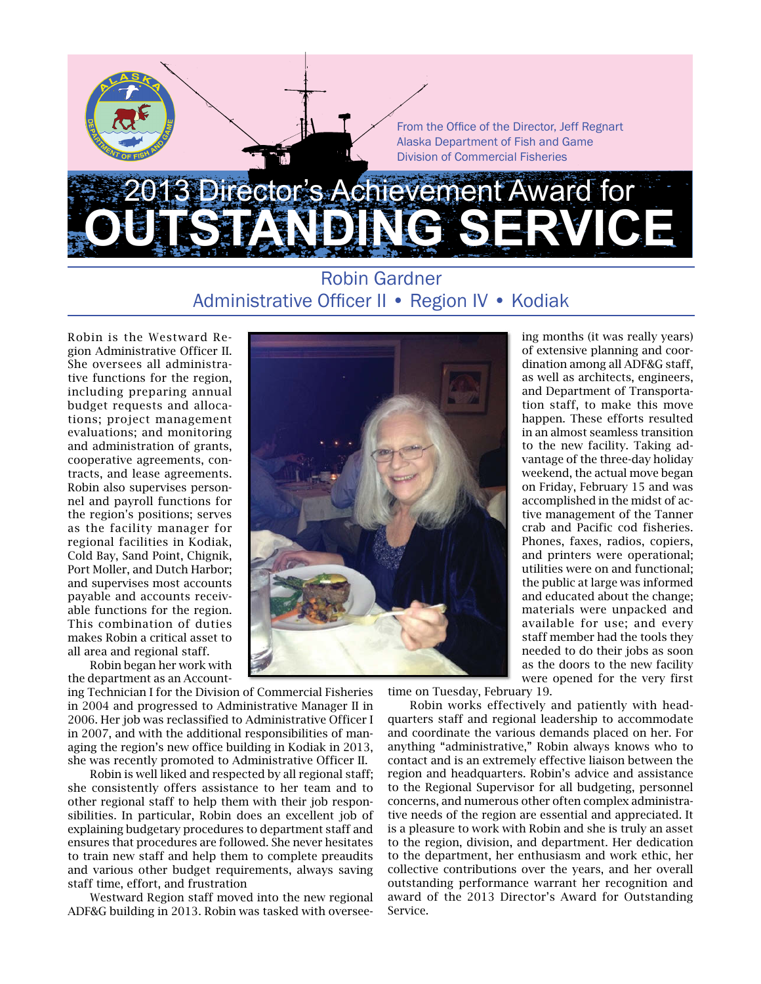# *<u>Ector's Achievement Award</u>* for **Outstanding Service**

#### Robin Gardner Administrative Officer II • Region IV • Kodiak

 budget requests and alloca- and administration of grants, tracts, and lease agreements. able functions for the region. Robin is the Westward Region Administrative Officer II. She oversees all administrative functions for the region, including preparing annual tions; project management evaluations; and monitoring cooperative agreements, con-Robin also supervises personnel and payroll functions for the region's positions; serves as the facility manager for regional facilities in Kodiak, Cold Bay, Sand Point, Chignik, Port Moller, and Dutch Harbor; and supervises most accounts payable and accounts receiv-This combination of duties makes Robin a critical asset to all area and regional staff.

Robin began her work with the department as an Account-

ing Technician I for the Division of Commercial Fisheries in 2004 and progressed to Administrative Manager II in 2006. Her job was reclassified to Administrative Officer I in 2007, and with the additional responsibilities of managing the region's new office building in Kodiak in 2013, she was recently promoted to Administrative Officer II.

Robin is well liked and respected by all regional staff; she consistently offers assistance to her team and to other regional staff to help them with their job responsibilities. In particular, Robin does an excellent job of explaining budgetary procedures to department staff and ensures that procedures are followed. She never hesitates to train new staff and help them to complete preaudits and various other budget requirements, always saving staff time, effort, and frustration

Westward Region staff moved into the new regional ADF&G building in 2013. Robin was tasked with oversee-

 dination among all ADF&G staff, of extensive planning and cooras well as architects, engineers, and Department of Transportation staff, to make this move happen. These efforts resulted in an almost seamless transition to the new facility. Taking advantage of the three-day holiday weekend, the actual move began on Friday, February 15 and was accomplished in the midst of active management of the Tanner crab and Pacific cod fisheries. Phones, faxes, radios, copiers, and printers were operational; utilities were on and functional; the public at large was informed and educated about the change; materials were unpacked and available for use; and every staff member had the tools they needed to do their jobs as soon as the doors to the new facility were opened for the very first

ing months (it was really years)

time on Tuesday, February 19.

Robin works effectively and patiently with headquarters staff and regional leadership to accommodate and coordinate the various demands placed on her. For anything "administrative," Robin always knows who to contact and is an extremely effective liaison between the region and headquarters. Robin's advice and assistance to the Regional Supervisor for all budgeting, personnel concerns, and numerous other often complex administrative needs of the region are essential and appreciated. It is a pleasure to work with Robin and she is truly an asset to the region, division, and department. Her dedication to the department, her enthusiasm and work ethic, her collective contributions over the years, and her overall outstanding performance warrant her recognition and award of the 2013 Director's Award for Outstanding Service.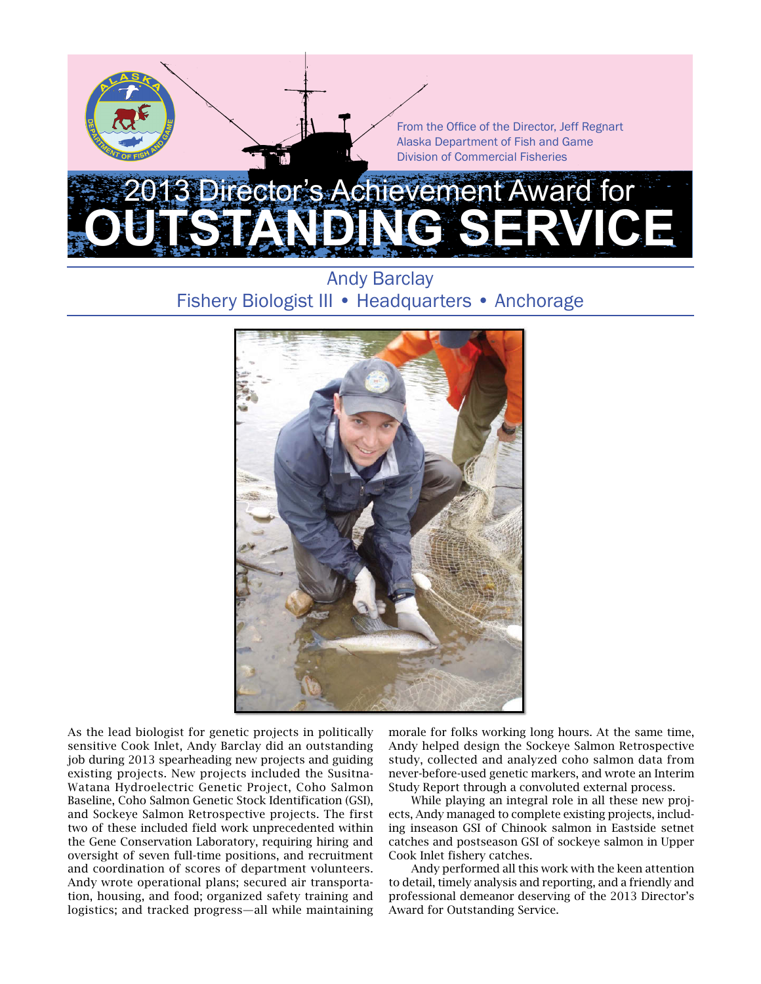

### Andy Barclay Fishery Biologist III • Headquarters • Anchorage



 As the lead biologist for genetic projects in politically existing projects. New projects included the Susitna- Watana Hydroelectric Genetic Project, Coho Salmon sensitive Cook Inlet, Andy Barclay did an outstanding job during 2013 spearheading new projects and guiding Baseline, Coho Salmon Genetic Stock Identification (GSI), and Sockeye Salmon Retrospective projects. The first two of these included field work unprecedented within the Gene Conservation Laboratory, requiring hiring and oversight of seven full-time positions, and recruitment and coordination of scores of department volunteers. Andy wrote operational plans; secured air transportation, housing, and food; organized safety training and logistics; and tracked progress—all while maintaining

morale for folks working long hours. At the same time, Andy helped design the Sockeye Salmon Retrospective study, collected and analyzed coho salmon data from never-before-used genetic markers, and wrote an Interim Study Report through a convoluted external process.

While playing an integral role in all these new projects, Andy managed to complete existing projects, including inseason GSI of Chinook salmon in Eastside setnet catches and postseason GSI of sockeye salmon in Upper Cook Inlet fishery catches.

Andy performed all this work with the keen attention to detail, timely analysis and reporting, and a friendly and professional demeanor deserving of the 2013 Director's Award for Outstanding Service.